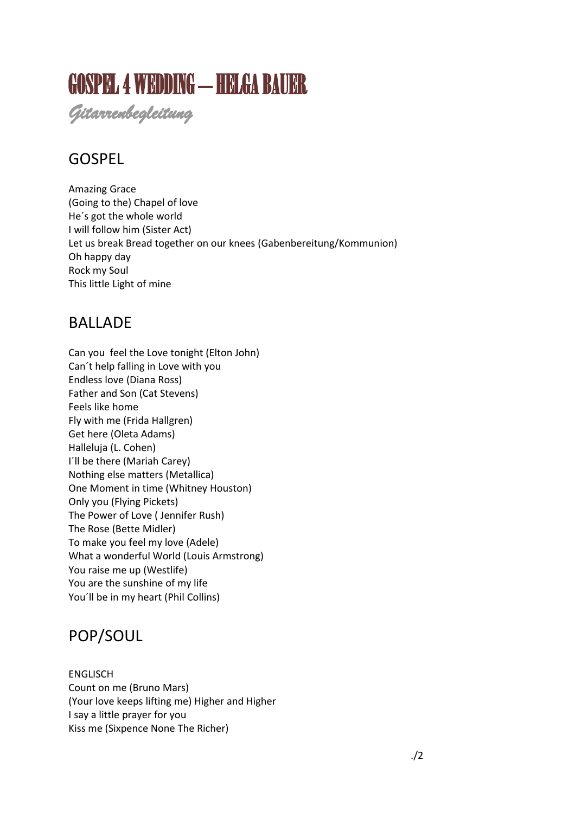# GOSPEL 4 WEDDING – HELGA BAUER

*Gitarrenbegleitung*

## GOSPEL

Amazing Grace (Going to the) Chapel of love He´s got the whole world I will follow him (Sister Act) Let us break Bread together on our knees (Gabenbereitung/Kommunion) Oh happy day Rock my Soul This little Light of mine

### **BALLADE**

Can you feel the Love tonight (Elton John) Can´t help falling in Love with you Endless love (Diana Ross) Father and Son (Cat Stevens) Feels like home Fly with me (Frida Hallgren) Get here (Oleta Adams) Halleluja (L. Cohen) I´ll be there (Mariah Carey) Nothing else matters (Metallica) One Moment in time (Whitney Houston) Only you (Flying Pickets) The Power of Love ( Jennifer Rush) The Rose (Bette Midler) To make you feel my love (Adele) What a wonderful World (Louis Armstrong) You raise me up (Westlife) You are the sunshine of my life You´ll be in my heart (Phil Collins)

## POP/SOUL

ENGLISCH Count on me (Bruno Mars) (Your love keeps lifting me) Higher and Higher I say a little prayer for you Kiss me (Sixpence None The Richer)